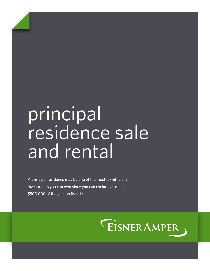# principal residence sale and rental

A principal residence may be one of the most tax-efficient investments you can own since you can exclude as much as \$500,000 of the gain on its sale.

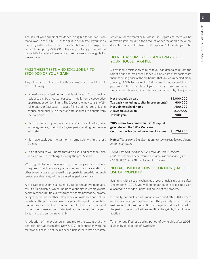The sale of your principal residence is eligible for an exclusion that allows up to \$500,000 of the gain to be tax free, if you file as married jointly and meet the tests listed below (other taxpayers can exclude up to \$250,000 of the gain). But any portion of the gain attributable to a home office or rental use is not eligible for the exclusion.

## PASS THESE TESTS AND EXCLUDE UP TO \$500,000 OF YOUR GAIN

To qualify for the full amount of the exclusion, you must have all of the following:

- Owned your principal home for at least 2 years. Your principal residence can be a house, houseboat, mobile home, cooperative apartment or condominium. The 2-year rule may consist of 24 full months or 730 days. If you are filing a joint return, only one spouse need qualify in order for both spouses to benefit from the exclusion.
- Used the home as your principal residence for at least 2 years, in the aggregate, during the 5-year period ending on the sale end date.
- Not have excluded the gain on a home sale within the last 2 years.
- Did not acquire your home through a like-kind exchange (also known as a 1031 exchange), during the past 5 years.

With regards to principal residence, occupancy of the residence is required. Short temporary absences, such as for vacation or other seasonal absences, even if the property is rented during such temporary absences, will be counted as periods of use.

A pro-rata exclusion is allowed if you fail the above tests as a result of a hardship, which includes a change in employment, health reasons, multiple births from the same pregnancy, divorce or legal separation, or other unforeseen circumstances and natural disasters. The pro-rata exclusion is generally equal to a fraction, the numerator of which is the number of months you used and owned the house as your principal residence within the past 2 years and the denominator is 24.

A reduction of the exclusion is required to the extent that any depreciation was taken after May 6, 1997 in connection with the rental or business use of the residence, unless there was a separate

structure for the rental or business use. Regardless, there will be a taxable gain equal to the amount of depreciation previously deducted and it will be taxed at the special 25% capital gain rate.

## DO NOT ASSUME YOU CAN ALWAYS SELL YOUR HOUSE TAX-FREE

Many people mistakenly think that you can defer a gain from the sale of a principal residence if they buy a new home that costs more than the selling price of the old home. That law was repealed many years ago (1997 to be exact). Under current law, you will have to pay taxes to the extent the net gain exceeds the maximum exclusion amount. Here is an example for a married couple, filing jointly:

| Net proceeds on sale                       | \$2,000,000 |
|--------------------------------------------|-------------|
| Tax basis (including capital improvements) | 600,000     |
| Net gain on sale of home                   | 1,400,000   |
| Allowable exclusion                        | (500,000)   |
| Taxable gain                               | 900,000     |
| 2015 federal tax at maximum 20% capital    |             |
| gain rate and the 3.8% Medicare            |             |
| Contribution Tax on net investment income  | 214,200     |

**Notes:** *This gain may be subject to state income taxes. See the chapter on state tax issues.*

*The taxable gain will also be subject to the 3.8% Medicare Contribution tax on net investment income. The excludable gain (\$250,000/500,000) is not subject to the tax.*

#### NO EXCLUSION ALLOWED FOR NONQUALIFIED USE OF PROPERTY

Beginning with sales or exchanges of your principal residence after December 31, 2008, you will no longer be able to exclude gain allocated to periods of nonqualified use of the property.

Generally, nonqualified use means any period after 2008 where neither you nor your spouse used the property as a principal residence. To figure the portion of the gain that is allocated to the period of nonqualified use, multiply the gain by the following fraction:

Total nonqualified use during period of ownership after 2008, divided by total period of ownership.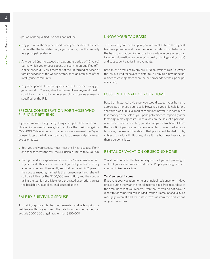A period of nonqualified use does not include:

- Any portion of the 5-year period ending on the date of the sale that is after the last date you (or your spouse) use the property as a principal residence.
- Any period (not to exceed an aggregate period of 10 years) during which you or your spouse are serving on qualified official extended duty as a member of the uniformed services or foreign services of the United States, or as an employee of the intelligence community.
- Any other period of temporary absence (not to exceed an aggregate period of 2 years) due to change of employment, health conditions, or such other unforeseen circumstances as may be specified by the IRS.

# SPECIAL CONSIDERATION FOR THOSE WHO FILE JOINT RETURNS

If you are married filing jointly, things can get a little more complicated if you want to be eligible to exclude the maximum gain of \$500,000. While either you or your spouse can meet the 2-year ownership test, the following rules apply to the use and prior 2-year exclusion tests:

- Both you and your spouse must meet the 2-year use test. If only one spouse meets the test, the exclusion is limited to \$250,000.
- Both you and your spouse must meet the "no exclusion in prior 2 years" test. This can be an issue if you sell your home, marry a homeowner and then jointly sell that home within 2 years. If the spouse meeting the test is the homeowner, he or she will still be eligible for the \$250,000 exemption, and the spouse failing the test is not eligible for a pro-rated exemption, unless the hardship rule applies, as discussed above.

# SALE BY SURVIVING SPOUSE

A surviving spouse who has not remarried and sells a principal residence within 2 years from the date his or her spouse died can exclude \$500,000 of gain rather than \$250,000.

# KNOW YOUR TAX BASIS

To minimize your taxable gain, you will want to have the highest tax basis possible, and have the documentation to substantiate the basis calculation. So be sure to maintain accurate records, including information on your original cost (including closing costs) and subsequent capital improvements.

Basis must be reduced by any pre-1988 deferrals of gain (i.e., when the law allowed taxpayers to defer tax by buying a new principal residence costing more than the net proceeds of their principal residence).

# LOSS ON THE SALE OF YOUR HOME

Based on historical evidence, you would expect your home to appreciate after you purchase it. However, if you only hold it for a short time, or if unusual market conditions prevail, it is possible to lose money on the sale of your principal residence, especially after factoring in closing costs. Since a loss on the sale of a personal residence is not deductible, you do not gain a tax benefit from the loss. But if part of your home was rented or was used for your business, the loss attributable to that portion will be deductible, subject to various limitations, since it is a business loss rather than a personal loss.

# RENTAL OF VACATION OR SECOND HOME

You should consider the tax consequences if you are planning to rent out your vacation or second home. Proper planning can help you maximize tax savings.

#### **Tax-free rental income**

If you rent your vacation home or principal residence for 14 days or less during the year, the rental income is tax-free, regardless of the amount of rent you receive. Even though you do not have to report this income, you can still deduct the full amount of qualifying mortgage interest and real estate taxes as itemized deductions on your tax return.